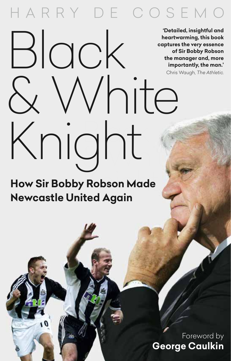# HARRY DE COSEMO

**'Detailed, insightful and heartwarming, this book captures the very essence of Sir Bobby Robson the manager and, more importantly, the man.'**

Chris Waugh, *The Athletic.*

**How Sir Bobby Robson Made Newcastle United Again**

Knight

& White

Black

Foreword by **George Caulkin**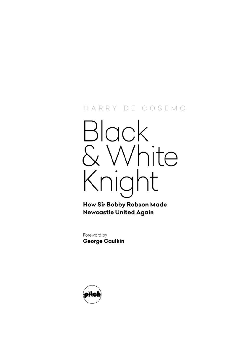### HARRY DE COSEMO



How Sir Bobby Robson Made **Newcastle United Again** 

Foreword by **George Caulkin** 

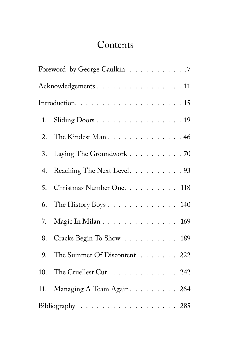# Contents

|    | Foreword by George Caulkin 7    |
|----|---------------------------------|
|    | Acknowledgements11              |
|    |                                 |
| 1. | Sliding Doors 19                |
|    | 2. The Kindest Man 46           |
|    | 3. Laying The Groundwork 70     |
|    | 4. Reaching The Next Level. 93  |
| 5. | Christmas Number One. 118       |
|    | 6. The History Boys 140         |
|    | 7. Magic In Milan 169           |
|    | 8. Cracks Begin To Show 189     |
|    | 9. The Summer Of Discontent 222 |
|    | 10. The Cruellest Cut. 242      |
|    | 11. Managing A Team Again. 264  |
|    | Bibliography 285                |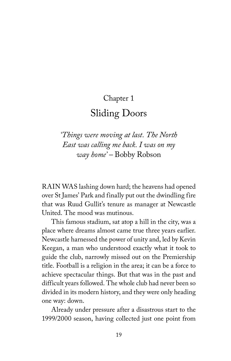#### Chapter 1

## Sliding Doors

*'Things were moving at last. The North East was calling me back. I was on my way home' –* Bobby Robson

RAIN WAS lashing down hard; the heavens had opened over St James' Park and finally put out the dwindling fire that was Ruud Gullit's tenure as manager at Newcastle United. The mood was mutinous.

This famous stadium, sat atop a hill in the city, was a place where dreams almost came true three years earlier. Newcastle harnessed the power of unity and, led by Kevin Keegan, a man who understood exactly what it took to guide the club, narrowly missed out on the Premiership title. Football is a religion in the area; it can be a force to achieve spectacular things. But that was in the past and difficult years followed. The whole club had never been so divided in its modern history, and they were only heading one way: down.

Already under pressure after a disastrous start to the 1999/2000 season, having collected just one point from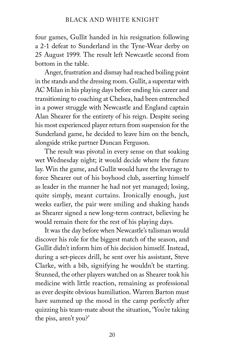four games, Gullit handed in his resignation following a 2-1 defeat to Sunderland in the Tyne-Wear derby on 25 August 1999. The result left Newcastle second from bottom in the table.

Anger, frustration and dismay had reached boiling point in the stands and the dressing room. Gullit, a superstar with AC Milan in his playing days before ending his career and transitioning to coaching at Chelsea, had been entrenched in a power struggle with Newcastle and England captain Alan Shearer for the entirety of his reign. Despite seeing his most experienced player return from suspension for the Sunderland game, he decided to leave him on the bench, alongside strike partner Duncan Ferguson.

The result was pivotal in every sense on that soaking wet Wednesday night; it would decide where the future lay. Win the game, and Gullit would have the leverage to force Shearer out of his boyhood club, asserting himself as leader in the manner he had not yet managed; losing, quite simply, meant curtains. Ironically enough, just weeks earlier, the pair were smiling and shaking hands as Shearer signed a new long-term contract, believing he would remain there for the rest of his playing days.

It was the day before when Newcastle's talisman would discover his role for the biggest match of the season, and Gullit didn't inform him of his decision himself. Instead, during a set-pieces drill, he sent over his assistant, Steve Clarke, with a bib, signifying he wouldn't be starting. Stunned, the other players watched on as Shearer took his medicine with little reaction, remaining as professional as ever despite obvious humiliation. Warren Barton must have summed up the mood in the camp perfectly after quizzing his team-mate about the situation, 'You're taking the piss, aren't you?'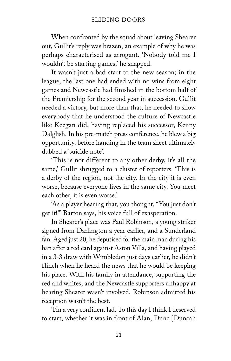When confronted by the squad about leaving Shearer out, Gullit's reply was brazen, an example of why he was perhaps characterised as arrogant. 'Nobody told me I wouldn't be starting games,' he snapped.

It wasn't just a bad start to the new season; in the league, the last one had ended with no wins from eight games and Newcastle had finished in the bottom half of the Premiership for the second year in succession. Gullit needed a victory, but more than that, he needed to show everybody that he understood the culture of Newcastle like Keegan did, having replaced his successor, Kenny Dalglish. In his pre-match press conference, he blew a big opportunity, before handing in the team sheet ultimately dubbed a 'suicide note'.

'This is not different to any other derby, it's all the same,' Gullit shrugged to a cluster of reporters. 'This is a derby of the region, not the city. In the city it is even worse, because everyone lives in the same city. You meet each other, it is even worse.'

'As a player hearing that, you thought, "You just don't get it!"' Barton says, his voice full of exasperation.

In Shearer's place was Paul Robinson, a young striker signed from Darlington a year earlier, and a Sunderland fan. Aged just 20, he deputised for the main man during his ban after a red card against Aston Villa, and having played in a 3-3 draw with Wimbledon just days earlier, he didn't flinch when he heard the news that he would be keeping his place. With his family in attendance, supporting the red and whites, and the Newcastle supporters unhappy at hearing Shearer wasn't involved, Robinson admitted his reception wasn't the best.

'I'm a very confident lad. To this day I think I deserved to start, whether it was in front of Alan, Dunc [Duncan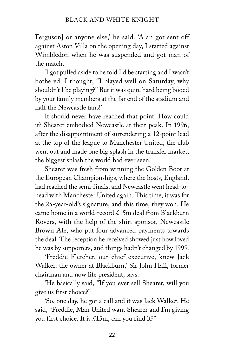Ferguson] or anyone else,' he said. 'Alan got sent off against Aston Villa on the opening day, I started against Wimbledon when he was suspended and got man of the match.

'I got pulled aside to be told I'd be starting and I wasn't bothered. I thought, "I played well on Saturday, why shouldn't I be playing?" But it was quite hard being booed by your family members at the far end of the stadium and half the Newcastle fans!'

It should never have reached that point. How could it? Shearer embodied Newcastle at their peak. In 1996, after the disappointment of surrendering a 12-point lead at the top of the league to Manchester United, the club went out and made one big splash in the transfer market, the biggest splash the world had ever seen.

Shearer was fresh from winning the Golden Boot at the European Championships, where the hosts, England, had reached the semi-finals, and Newcastle went head-tohead with Manchester United again. This time, it was for the 25-year-old's signature, and this time, they won. He came home in a world-record £15m deal from Blackburn Rovers, with the help of the shirt sponsor, Newcastle Brown Ale, who put four advanced payments towards the deal. The reception he received showed just how loved he was by supporters, and things hadn't changed by 1999.

'Freddie Fletcher, our chief executive, knew Jack Walker, the owner at Blackburn,' Sir John Hall, former chairman and now life president, says.

'He basically said, "If you ever sell Shearer, will you give us first choice?"

'So, one day, he got a call and it was Jack Walker. He said, "Freddie, Man United want Shearer and I'm giving you first choice. It is £15m, can you find it?"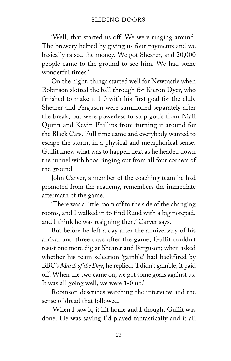'Well, that started us off. We were ringing around. The brewery helped by giving us four payments and we basically raised the money. We got Shearer, and 20,000 people came to the ground to see him. We had some wonderful times.'

On the night, things started well for Newcastle when Robinson slotted the ball through for Kieron Dyer, who finished to make it 1-0 with his first goal for the club. Shearer and Ferguson were summoned separately after the break, but were powerless to stop goals from Niall Quinn and Kevin Phillips from turning it around for the Black Cats. Full time came and everybody wanted to escape the storm, in a physical and metaphorical sense. Gullit knew what was to happen next as he headed down the tunnel with boos ringing out from all four corners of the ground.

John Carver, a member of the coaching team he had promoted from the academy, remembers the immediate aftermath of the game.

'There was a little room off to the side of the changing rooms, and I walked in to find Ruud with a big notepad, and I think he was resigning then,' Carver says.

But before he left a day after the anniversary of his arrival and three days after the game, Gullit couldn't resist one more dig at Shearer and Ferguson; when asked whether his team selection 'gamble' had backfired by BBC's *Match of the Day*, he replied: 'I didn't gamble; it paid off. When the two came on, we got some goals against us. It was all going well, we were 1-0 up.'

Robinson describes watching the interview and the sense of dread that followed.

'When I saw it, it hit home and I thought Gullit was done. He was saying I'd played fantastically and it all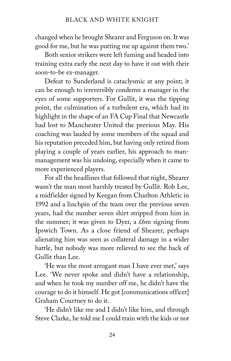changed when he brought Shearer and Ferguson on. It was good for me, but he was putting me up against them two.'

Both senior strikers were left fuming and headed into training extra early the next day to have it out with their soon-to-be ex-manager.

Defeat to Sunderland is cataclysmic at any point; it can be enough to irreversibly condemn a manager in the eyes of some supporters. For Gullit, it was the tipping point, the culmination of a turbulent era, which had its highlight in the shape of an FA Cup Final that Newcastle had lost to Manchester United the previous May. His coaching was lauded by some members of the squad and his reputation preceded him, but having only retired from playing a couple of years earlier, his approach to manmanagement was his undoing, especially when it came to more experienced players.

For all the headlines that followed that night, Shearer wasn't the man most harshly treated by Gullit. Rob Lee, a midfielder signed by Keegan from Charlton Athletic in 1992 and a linchpin of the team over the previous seven years, had the number seven shirt stripped from him in the summer; it was given to Dyer, a  $\mathcal{L}6m$  signing from Ipswich Town. As a close friend of Shearer, perhaps alienating him was seen as collateral damage in a wider battle, but nobody was more relieved to see the back of Gullit than Lee.

'He was the most arrogant man I have ever met,' says Lee. 'We never spoke and didn't have a relationship, and when he took my number off me, he didn't have the courage to do it himself. He got [communications officer] Graham Courtney to do it.

'He didn't like me and I didn't like him, and through Steve Clarke, he told me I could train with the kids or not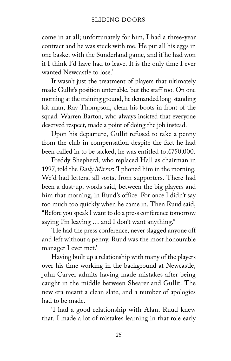come in at all; unfortunately for him, I had a three-year contract and he was stuck with me. He put all his eggs in one basket with the Sunderland game, and if he had won it I think I'd have had to leave. It is the only time I ever wanted Newcastle to lose.'

It wasn't just the treatment of players that ultimately made Gullit's position untenable, but the staff too. On one morning at the training ground, he demanded long-standing kit man, Ray Thompson, clean his boots in front of the squad. Warren Barton, who always insisted that everyone deserved respect, made a point of doing the job instead.

Upon his departure, Gullit refused to take a penny from the club in compensation despite the fact he had been called in to be sacked; he was entitled to £750,000.

Freddy Shepherd, who replaced Hall as chairman in 1997, told the *Daily Mirror*: 'I phoned him in the morning. We'd had letters, all sorts, from supporters. There had been a dust-up, words said, between the big players and him that morning, in Ruud's office. For once I didn't say too much too quickly when he came in. Then Ruud said, "Before you speak I want to do a press conference tomorrow saying I'm leaving … and I don't want anything."

'He had the press conference, never slagged anyone off and left without a penny. Ruud was the most honourable manager I ever met.'

Having built up a relationship with many of the players over his time working in the background at Newcastle, John Carver admits having made mistakes after being caught in the middle between Shearer and Gullit. The new era meant a clean slate, and a number of apologies had to be made.

'I had a good relationship with Alan, Ruud knew that. I made a lot of mistakes learning in that role early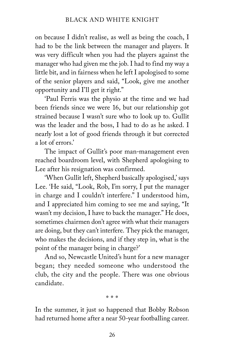on because I didn't realise, as well as being the coach, I had to be the link between the manager and players. It was very difficult when you had the players against the manager who had given me the job. I had to find my way a little bit, and in fairness when he left I apologised to some of the senior players and said, "Look, give me another opportunity and I'll get it right."

'Paul Ferris was the physio at the time and we had been friends since we were 16, but our relationship got strained because I wasn't sure who to look up to. Gullit was the leader and the boss, I had to do as he asked. I nearly lost a lot of good friends through it but corrected a lot of errors.'

The impact of Gullit's poor man-management even reached boardroom level, with Shepherd apologising to Lee after his resignation was confirmed.

'When Gullit left, Shepherd basically apologised,' says Lee. 'He said, "Look, Rob, I'm sorry, I put the manager in charge and I couldn't interfere." I understood him, and I appreciated him coming to see me and saying, "It wasn't my decision, I have to back the manager." He does, sometimes chairmen don't agree with what their managers are doing, but they can't interfere. They pick the manager, who makes the decisions, and if they step in, what is the point of the manager being in charge?'

And so, Newcastle United's hunt for a new manager began; they needed someone who understood the club, the city and the people. There was one obvious candidate.

#### \*\*\*

In the summer, it just so happened that Bobby Robson had returned home after a near 50-year footballing career.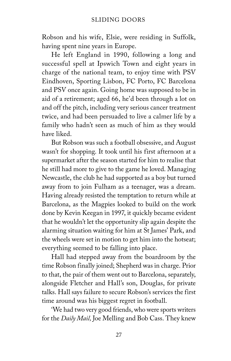Robson and his wife, Elsie, were residing in Suffolk, having spent nine years in Europe.

He left England in 1990, following a long and successful spell at Ipswich Town and eight years in charge of the national team, to enjoy time with PSV Eindhoven, Sporting Lisbon, FC Porto, FC Barcelona and PSV once again. Going home was supposed to be in aid of a retirement; aged 66, he'd been through a lot on and off the pitch, including very serious cancer treatment twice, and had been persuaded to live a calmer life by a family who hadn't seen as much of him as they would have liked.

But Robson was such a football obsessive, and August wasn't for shopping. It took until his first afternoon at a supermarket after the season started for him to realise that he still had more to give to the game he loved. Managing Newcastle, the club he had supported as a boy but turned away from to join Fulham as a teenager, was a dream. Having already resisted the temptation to return while at Barcelona, as the Magpies looked to build on the work done by Kevin Keegan in 1997, it quickly became evident that he wouldn't let the opportunity slip again despite the alarming situation waiting for him at St James' Park, and the wheels were set in motion to get him into the hotseat; everything seemed to be falling into place.

Hall had stepped away from the boardroom by the time Robson finally joined; Shepherd was in charge. Prior to that, the pair of them went out to Barcelona, separately, alongside Fletcher and Hall's son, Douglas, for private talks. Hall says failure to secure Robson's services the first time around was his biggest regret in football.

'We had two very good friends, who were sports writers for the *Daily Mail,* Joe Melling and Bob Cass. They knew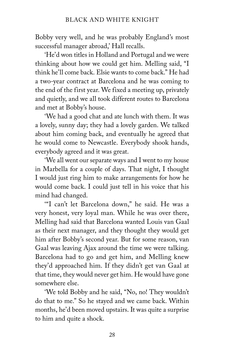Bobby very well, and he was probably England's most successful manager abroad,' Hall recalls.

'He'd won titles in Holland and Portugal and we were thinking about how we could get him. Melling said, "I think he'll come back. Elsie wants to come back." He had a two-year contract at Barcelona and he was coming to the end of the first year. We fixed a meeting up, privately and quietly, and we all took different routes to Barcelona and met at Bobby's house.

'We had a good chat and ate lunch with them. It was a lovely, sunny day; they had a lovely garden. We talked about him coming back, and eventually he agreed that he would come to Newcastle. Everybody shook hands, everybody agreed and it was great.

'We all went our separate ways and I went to my house in Marbella for a couple of days. That night, I thought I would just ring him to make arrangements for how he would come back. I could just tell in his voice that his mind had changed.

'"I can't let Barcelona down," he said. He was a very honest, very loyal man. While he was over there, Melling had said that Barcelona wanted Louis van Gaal as their next manager, and they thought they would get him after Bobby's second year. But for some reason, van Gaal was leaving Ajax around the time we were talking. Barcelona had to go and get him, and Melling knew they'd approached him. If they didn't get van Gaal at that time, they would never get him. He would have gone somewhere else.

'We told Bobby and he said, "No, no! They wouldn't do that to me." So he stayed and we came back. Within months, he'd been moved upstairs. It was quite a surprise to him and quite a shock.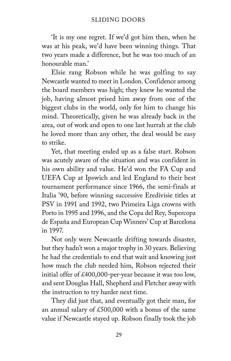'It is my one regret. If we'd got him then, when he was at his peak, we'd have been winning things. That two years made a difference, but he was too much of an honourable man.'

Elsie rang Robson while he was golfing to say Newcastle wanted to meet in London. Confidence among the board members was high; they knew he wanted the job, having almost prised him away from one of the biggest clubs in the world, only for him to change his mind. Theoretically, given he was already back in the area, out of work and open to one last hurrah at the club he loved more than any other, the deal would be easy to strike.

Yet, that meeting ended up as a false start. Robson was acutely aware of the situation and was confident in his own ability and value. He'd won the FA Cup and UEFA Cup at Ipswich and led England to their best tournament performance since 1966, the semi-finals at Italia '90, before winning successive Eredivisie titles at PSV in 1991 and 1992, two Primeira Liga crowns with Porto in 1995 and 1996, and the Copa del Rey, Supercopa de España and European Cup Winners' Cup at Barcelona in 1997.

Not only were Newcastle drifting towards disaster, but they hadn't won a major trophy in 30 years. Believing he had the credentials to end that wait and knowing just how much the club needed him, Robson rejected their initial offer of £400,000-per-year because it was too low, and sent Douglas Hall, Shepherd and Fletcher away with the instruction to try harder next time.

They did just that, and eventually got their man, for an annual salary of  $\text{\pounds}500,000$  with a bonus of the same value if Newcastle stayed up. Robson finally took the job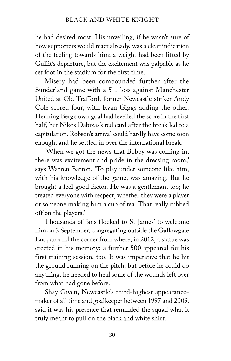he had desired most. His unveiling, if he wasn't sure of how supporters would react already, was a clear indication of the feeling towards him; a weight had been lifted by Gullit's departure, but the excitement was palpable as he set foot in the stadium for the first time.

Misery had been compounded further after the Sunderland game with a 5-1 loss against Manchester United at Old Trafford; former Newcastle striker Andy Cole scored four, with Ryan Giggs adding the other. Henning Berg's own goal had levelled the score in the first half, but Nikos Dabizas's red card after the break led to a capitulation. Robson's arrival could hardly have come soon enough, and he settled in over the international break.

'When we got the news that Bobby was coming in, there was excitement and pride in the dressing room,' says Warren Barton. 'To play under someone like him, with his knowledge of the game, was amazing. But he brought a feel-good factor. He was a gentleman, too; he treated everyone with respect, whether they were a player or someone making him a cup of tea. That really rubbed off on the players.'

Thousands of fans flocked to St James' to welcome him on 3 September, congregating outside the Gallowgate End, around the corner from where, in 2012, a statue was erected in his memory; a further 500 appeared for his first training session, too. It was imperative that he hit the ground running on the pitch, but before he could do anything, he needed to heal some of the wounds left over from what had gone before.

Shay Given, Newcastle's third-highest appearancemaker of all time and goalkeeper between 1997 and 2009, said it was his presence that reminded the squad what it truly meant to pull on the black and white shirt.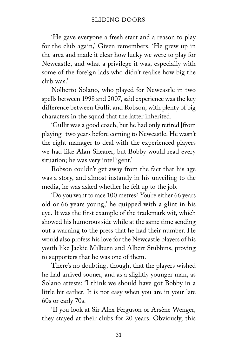'He gave everyone a fresh start and a reason to play for the club again,' Given remembers. 'He grew up in the area and made it clear how lucky we were to play for Newcastle, and what a privilege it was, especially with some of the foreign lads who didn't realise how big the club was.'

Nolberto Solano, who played for Newcastle in two spells between 1998 and 2007, said experience was the key difference between Gullit and Robson, with plenty of big characters in the squad that the latter inherited.

'Gullit was a good coach, but he had only retired [from playing] two years before coming to Newcastle. He wasn't the right manager to deal with the experienced players we had like Alan Shearer, but Bobby would read every situation; he was very intelligent.'

Robson couldn't get away from the fact that his age was a story, and almost instantly in his unveiling to the media, he was asked whether he felt up to the job.

'Do you want to race 100 metres? You're either 66 years old or 66 years young,' he quipped with a glint in his eye. It was the first example of the trademark wit, which showed his humorous side while at the same time sending out a warning to the press that he had their number. He would also profess his love for the Newcastle players of his youth like Jackie Milburn and Albert Stubbins, proving to supporters that he was one of them.

There's no doubting, though, that the players wished he had arrived sooner, and as a slightly younger man, as Solano attests: 'I think we should have got Bobby in a little bit earlier. It is not easy when you are in your late 60s or early 70s.

'If you look at Sir Alex Ferguson or Arsène Wenger, they stayed at their clubs for 20 years. Obviously, this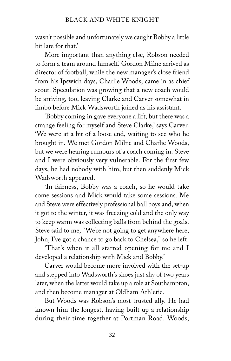wasn't possible and unfortunately we caught Bobby a little bit late for that.'

More important than anything else, Robson needed to form a team around himself. Gordon Milne arrived as director of football, while the new manager's close friend from his Ipswich days, Charlie Woods, came in as chief scout. Speculation was growing that a new coach would be arriving, too, leaving Clarke and Carver somewhat in limbo before Mick Wadsworth joined as his assistant.

'Bobby coming in gave everyone a lift, but there was a strange feeling for myself and Steve Clarke,' says Carver. 'We were at a bit of a loose end, waiting to see who he brought in. We met Gordon Milne and Charlie Woods, but we were hearing rumours of a coach coming in. Steve and I were obviously very vulnerable. For the first few days, he had nobody with him, but then suddenly Mick Wadsworth appeared.

'In fairness, Bobby was a coach, so he would take some sessions and Mick would take some sessions. Me and Steve were effectively professional ball boys and, when it got to the winter, it was freezing cold and the only way to keep warm was collecting balls from behind the goals. Steve said to me, "We're not going to get anywhere here, John, I've got a chance to go back to Chelsea," so he left.

'That's when it all started opening for me and I developed a relationship with Mick and Bobby.'

Carver would become more involved with the set-up and stepped into Wadsworth's shoes just shy of two years later, when the latter would take up a role at Southampton, and then become manager at Oldham Athletic.

But Woods was Robson's most trusted ally. He had known him the longest, having built up a relationship during their time together at Portman Road. Woods,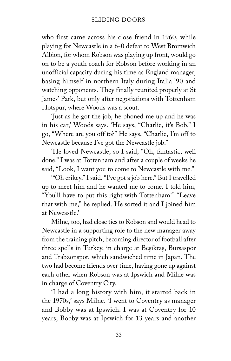who first came across his close friend in 1960, while playing for Newcastle in a 6-0 defeat to West Bromwich Albion, for whom Robson was playing up front, would go on to be a youth coach for Robson before working in an unofficial capacity during his time as England manager, basing himself in northern Italy during Italia '90 and watching opponents. They finally reunited properly at St James' Park, but only after negotiations with Tottenham Hotspur, where Woods was a scout.

'Just as he got the job, he phoned me up and he was in his car,' Woods says. 'He says, "Charlie, it's Bob." I go, "Where are you off to?" He says, "Charlie, I'm off to Newcastle because I've got the Newcastle job."

'He loved Newcastle, so I said, "Oh, fantastic, well done." I was at Tottenham and after a couple of weeks he said, "Look, I want you to come to Newcastle with me."

'"Oh crikey," I said. "I've got a job here." But I travelled up to meet him and he wanted me to come. I told him, "You'll have to put this right with Tottenham!" "Leave that with me," he replied. He sorted it and I joined him at Newcastle.'

Milne, too, had close ties to Robson and would head to Newcastle in a supporting role to the new manager away from the training pitch, becoming director of football after three spells in Turkey, in charge at Beşiktaş, Bursaspor and Trabzonspor, which sandwiched time in Japan. The two had become friends over time, having gone up against each other when Robson was at Ipswich and Milne was in charge of Coventry City.

'I had a long history with him, it started back in the 1970s,' says Milne. 'I went to Coventry as manager and Bobby was at Ipswich. I was at Coventry for 10 years, Bobby was at Ipswich for 13 years and another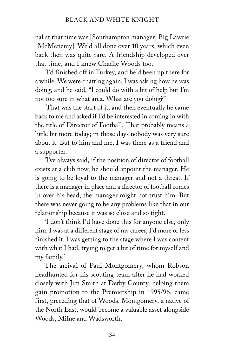pal at that time was [Southampton manager] Big Lawrie [McMenemy]. We'd all done over 10 years, which even back then was quite rare. A friendship developed over that time, and I knew Charlie Woods too.

'I'd finished off in Turkey, and he'd been up there for a while. We were chatting again, I was asking how he was doing, and he said, "I could do with a bit of help but I'm not too sure in what area. What are you doing?"

'That was the start of it, and then eventually he came back to me and asked if I'd be interested in coming in with the title of Director of Football. That probably means a little bit more today; in those days nobody was very sure about it. But to him and me, I was there as a friend and a supporter.

'I've always said, if the position of director of football exists at a club now, he should appoint the manager. He is going to be loyal to the manager and not a threat. If there is a manager in place and a director of football comes in over his head, the manager might not trust him. But there was never going to be any problems like that in our relationship because it was so close and so tight.

'I don't think I'd have done this for anyone else, only him. I was at a different stage of my career, I'd more or less finished it. I was getting to the stage where I was content with what I had, trying to get a bit of time for myself and my family.'

The arrival of Paul Montgomery, whom Robson headhunted for his scouting team after he had worked closely with Jim Smith at Derby County, helping them gain promotion to the Premiership in 1995/96, came first, preceding that of Woods. Montgomery, a native of the North East, would become a valuable asset alongside Woods, Milne and Wadsworth.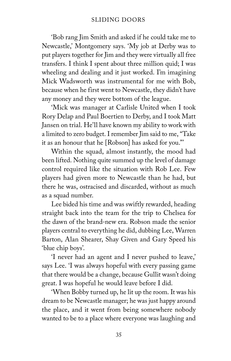'Bob rang Jim Smith and asked if he could take me to Newcastle,' Montgomery says. 'My job at Derby was to put players together for Jim and they were virtually all free transfers. I think I spent about three million quid; I was wheeling and dealing and it just worked. I'm imagining Mick Wadsworth was instrumental for me with Bob, because when he first went to Newcastle, they didn't have any money and they were bottom of the league.

'Mick was manager at Carlisle United when I took Rory Delap and Paul Boertien to Derby, and I took Matt Jansen on trial. He'll have known my ability to work with a limited to zero budget. I remember Jim said to me, "Take it as an honour that he [Robson] has asked for you."'

Within the squad, almost instantly, the mood had been lifted. Nothing quite summed up the level of damage control required like the situation with Rob Lee. Few players had given more to Newcastle than he had, but there he was, ostracised and discarded, without as much as a squad number.

Lee bided his time and was swiftly rewarded, heading straight back into the team for the trip to Chelsea for the dawn of the brand-new era. Robson made the senior players central to everything he did, dubbing Lee, Warren Barton, Alan Shearer, Shay Given and Gary Speed his 'blue chip boys'.

'I never had an agent and I never pushed to leave,' says Lee. 'I was always hopeful with every passing game that there would be a change, because Gullit wasn't doing great. I was hopeful he would leave before I did.

'When Bobby turned up, he lit up the room. It was his dream to be Newcastle manager; he was just happy around the place, and it went from being somewhere nobody wanted to be to a place where everyone was laughing and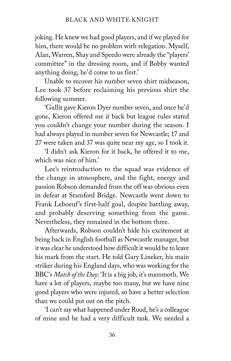joking. He knew we had good players, and if we played for him, there would be no problem with relegation. Myself, Alan, Warren, Shay and Speedo were already the "players' committee" in the dressing room, and if Bobby wanted anything doing, he'd come to us first.'

Unable to recover his number seven shirt midseason, Lee took 37 before reclaiming his previous shirt the following summer.

'Gullit gave Kieron Dyer number seven, and once he'd gone, Kieron offered me it back but league rules stated you couldn't change your number during the season. I had always played in number seven for Newcastle; 17 and 27 were taken and 37 was quite near my age, so I took it.

'I didn't ask Kieron for it back, he offered it to me, which was nice of him.'

Lee's reintroduction to the squad was evidence of the change in atmosphere, and the fight, energy and passion Robson demanded from the off was obvious even in defeat at Stamford Bridge. Newcastle went down to Frank Leboeuf's first-half goal, despite battling away, and probably deserving something from the game. Nevertheless, they remained in the bottom three.

Afterwards, Robson couldn't hide his excitement at being back in English football as Newcastle manager, but it was clear he understood how difficult it would be to leave his mark from the start. He told Gary Lineker, his main striker during his England days, who was working for the BBC's *Match of the Day*: 'It is a big job, it's mammoth. We have a lot of players, maybe too many, but we have nine good players who were injured, so have a better selection than we could put out on the pitch.

'I can't say what happened under Ruud, he's a colleague of mine and he had a very difficult task. We needed a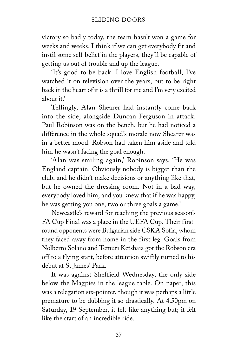victory so badly today, the team hasn't won a game for weeks and weeks. I think if we can get everybody fit and instil some self-belief in the players, they'll be capable of getting us out of trouble and up the league.

'It's good to be back. I love English football, I've watched it on television over the years, but to be right back in the heart of it is a thrill for me and I'm very excited about it.'

Tellingly, Alan Shearer had instantly come back into the side, alongside Duncan Ferguson in attack. Paul Robinson was on the bench, but he had noticed a difference in the whole squad's morale now Shearer was in a better mood. Robson had taken him aside and told him he wasn't facing the goal enough.

'Alan was smiling again,' Robinson says. 'He was England captain. Obviously nobody is bigger than the club, and he didn't make decisions or anything like that, but he owned the dressing room. Not in a bad way, everybody loved him, and you knew that if he was happy, he was getting you one, two or three goals a game.'

Newcastle's reward for reaching the previous season's FA Cup Final was a place in the UEFA Cup. Their firstround opponents were Bulgarian side CSKA Sofia, whom they faced away from home in the first leg. Goals from Nolberto Solano and Temuri Ketsbaia got the Robson era off to a flying start, before attention swiftly turned to his debut at St James' Park.

It was against Sheffield Wednesday, the only side below the Magpies in the league table. On paper, this was a relegation six-pointer, though it was perhaps a little premature to be dubbing it so drastically. At 4.50pm on Saturday, 19 September, it felt like anything but; it felt like the start of an incredible ride.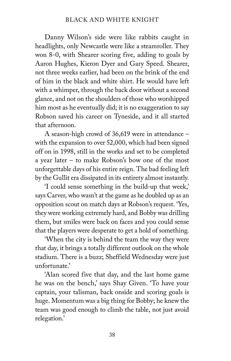#### Black and White Knight

Danny Wilson's side were like rabbits caught in headlights, only Newcastle were like a steamroller. They won 8-0, with Shearer scoring five, adding to goals by Aaron Hughes, Kieron Dyer and Gary Speed. Shearer, not three weeks earlier, had been on the brink of the end of him in the black and white shirt. He would have left with a whimper, through the back door without a second glance, and not on the shoulders of those who worshipped him most as he eventually did; it is no exaggeration to say Robson saved his career on Tyneside, and it all started that afternoon.

A season-high crowd of 36,619 were in attendance – with the expansion to over 52,000, which had been signed off on in 1998, still in the works and set to be completed a year later – to make Robson's bow one of the most unforgettable days of his entire reign. The bad feeling left by the Gullit era dissipated in its entirety almost instantly.

'I could sense something in the build-up that week,' says Carver, who wasn't at the game as he doubled up as an opposition scout on match days at Robson's request. 'Yes, they were working extremely hard, and Bobby was drilling them, but smiles were back on faces and you could sense that the players were desperate to get a hold of something.

'When the city is behind the team the way they were that day, it brings a totally different outlook on the whole stadium. There is a buzz; Sheffield Wednesday were just unfortunate.'

'Alan scored five that day, and the last home game he was on the bench,' says Shay Given. 'To have your captain, your talisman, back onside and scoring goals is huge. Momentum was a big thing for Bobby; he knew the team was good enough to climb the table, not just avoid relegation.'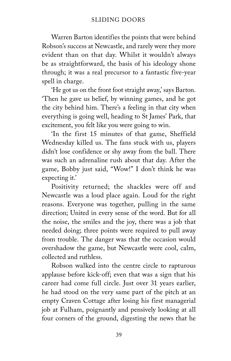Warren Barton identifies the points that were behind Robson's success at Newcastle, and rarely were they more evident than on that day. Whilst it wouldn't always be as straightforward, the basis of his ideology shone through; it was a real precursor to a fantastic five-year spell in charge.

'He got us on the front foot straight away,' says Barton. 'Then he gave us belief, by winning games, and he got the city behind him. There's a feeling in that city when everything is going well, heading to St James' Park, that excitement, you felt like you were going to win.

'In the first 15 minutes of that game, Sheffield Wednesday killed us. The fans stuck with us, players didn't lose confidence or shy away from the ball. There was such an adrenaline rush about that day. After the game, Bobby just said, "Wow!" I don't think he was expecting it.'

Positivity returned; the shackles were off and Newcastle was a loud place again. Loud for the right reasons.Everyone was together, pulling in the same direction; United in every sense of the word. But for all the noise, the smiles and the joy, there was a job that needed doing; three points were required to pull away from trouble. The danger was that the occasion would overshadow the game, but Newcastle were cool, calm, collected and ruthless.

Robson walked into the centre circle to rapturous applause before kick-off; even that was a sign that his career had come full circle. Just over 31 years earlier, he had stood on the very same part of the pitch at an empty Craven Cottage after losing his first managerial job at Fulham, poignantly and pensively looking at all four corners of the ground, digesting the news that he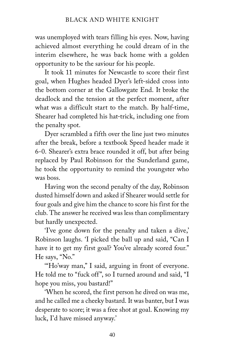was unemployed with tears filling his eyes. Now, having achieved almost everything he could dream of in the interim elsewhere, he was back home with a golden opportunity to be the saviour for his people.

It took 11 minutes for Newcastle to score their first goal, when Hughes headed Dyer's left-sided cross into the bottom corner at the Gallowgate End. It broke the deadlock and the tension at the perfect moment, after what was a difficult start to the match. By half-time, Shearer had completed his hat-trick, including one from the penalty spot.

Dyer scrambled a fifth over the line just two minutes after the break, before a textbook Speed header made it 6-0. Shearer's extra brace rounded it off, but after being replaced by Paul Robinson for the Sunderland game, he took the opportunity to remind the youngster who was boss.

Having won the second penalty of the day, Robinson dusted himself down and asked if Shearer would settle for four goals and give him the chance to score his first for the club. The answer he received was less than complimentary but hardly unexpected.

'I've gone down for the penalty and taken a dive,' Robinson laughs. 'I picked the ball up and said, "Can I have it to get my first goal? You've already scored four." He says, "No."

'"Ho'way man," I said, arguing in front of everyone. He told me to "fuck off", so I turned around and said, "I hope you miss, you bastard!"

'When he scored, the first person he dived on was me, and he called me a cheeky bastard. It was banter, but I was desperate to score; it was a free shot at goal. Knowing my luck, I'd have missed anyway.'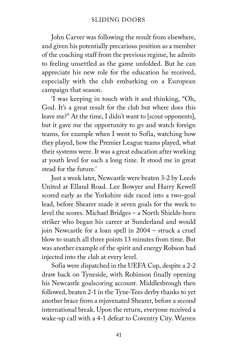John Carver was following the result from elsewhere, and given his potentially precarious position as a member of the coaching staff from the previous regime, he admits to feeling unsettled as the game unfolded. But he can appreciate his new role for the education he received, especially with the club embarking on a European campaign that season.

'I was keeping in touch with it and thinking, "Oh, God. It's a great result for the club but where does this leave me?" At the time, I didn't want to [scout opponents], but it gave me the opportunity to go and watch foreign teams, for example when I went to Sofia, watching how they played, how the Premier League teams played, what their systems were. It was a great education after working at youth level for such a long time. It stood me in great stead for the future.'

Just a week later, Newcastle were beaten 3-2 by Leeds United at Elland Road. Lee Bowyer and Harry Kewell scored early as the Yorkshire side raced into a two-goal lead, before Shearer made it seven goals for the week to level the scores. Michael Bridges – a North Shields-born striker who began his career at Sunderland and would join Newcastle for a loan spell in 2004 – struck a cruel blow to snatch all three points 13 minutes from time. But was another example of the spirit and energy Robson had injected into the club at every level.

Sofia were dispatched in the UEFA Cup, despite a 2-2 draw back on Tyneside, with Robinson finally opening his Newcastle goalscoring account. Middlesbrough then followed, beaten 2-1 in the Tyne-Tees derby thanks to yet another brace from a rejuvenated Shearer, before a second international break. Upon the return, everyone received a wake-up call with a 4-1 defeat to Coventry City. Warren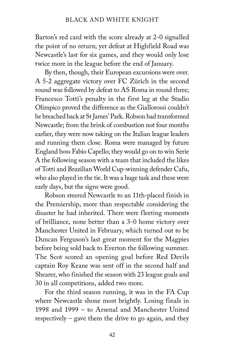Barton's red card with the score already at 2-0 signalled the point of no return; yet defeat at Highfield Road was Newcastle's last for six games, and they would only lose twice more in the league before the end of January.

By then, though, their European excursions were over. A 5-2 aggregate victory over FC Zürich in the second round was followed by defeat to AS Roma in round three; Francesco Totti's penalty in the first leg at the Stadio Olimpico proved the difference as the Giallorossi couldn't be breached back at St James' Park. Robson had transformed Newcastle; from the brink of combustion not four months earlier, they were now taking on the Italian league leaders and running them close. Roma were managed by future England boss Fabio Capello; they would go on to win Serie A the following season with a team that included the likes of Totti and Brazilian World Cup-winning defender Cafu, who also played in the tie. It was a huge task and these were early days, but the signs were good.

Robson steered Newcastle to an 11th-placed finish in the Premiership, more than respectable considering the disaster he had inherited. There were fleeting moments of brilliance, none better than a 3-0 home victory over Manchester United in February, which turned out to be Duncan Ferguson's last great moment for the Magpies before being sold back to Everton the following summer. The Scot scored an opening goal before Red Devils captain Roy Keane was sent off in the second half and Shearer, who finished the season with 23 league goals and 30 in all competitions, added two more.

For the third season running, it was in the FA Cup where Newcastle shone most brightly. Losing finals in 1998 and 1999 – to Arsenal and Manchester United respectively – gave them the drive to go again, and they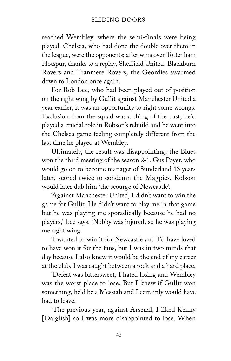reached Wembley, where the semi-finals were being played. Chelsea, who had done the double over them in the league, were the opponents; after wins over Tottenham Hotspur, thanks to a replay, Sheffield United, Blackburn Rovers and Tranmere Rovers, the Geordies swarmed down to London once again.

For Rob Lee, who had been played out of position on the right wing by Gullit against Manchester United a year earlier, it was an opportunity to right some wrongs. Exclusion from the squad was a thing of the past; he'd played a crucial role in Robson's rebuild and he went into the Chelsea game feeling completely different from the last time he played at Wembley.

Ultimately, the result was disappointing; the Blues won the third meeting of the season 2-1. Gus Poyet, who would go on to become manager of Sunderland 13 years later, scored twice to condemn the Magpies. Robson would later dub him 'the scourge of Newcastle'.

'Against Manchester United, I didn't want to win the game for Gullit. He didn't want to play me in that game but he was playing me sporadically because he had no players,' Lee says. 'Nobby was injured, so he was playing me right wing.

'I wanted to win it for Newcastle and I'd have loved to have won it for the fans, but I was in two minds that day because I also knew it would be the end of my career at the club. I was caught between a rock and a hard place.

'Defeat was bittersweet; I hated losing and Wembley was the worst place to lose. But I knew if Gullit won something, he'd be a Messiah and I certainly would have had to leave.

'The previous year, against Arsenal, I liked Kenny [Dalglish] so I was more disappointed to lose. When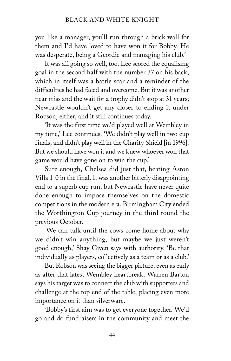you like a manager, you'll run through a brick wall for them and I'd have loved to have won it for Bobby. He was desperate, being a Geordie and managing his club.'

It was all going so well, too. Lee scored the equalising goal in the second half with the number 37 on his back, which in itself was a battle scar and a reminder of the difficulties he had faced and overcome. But it was another near miss and the wait for a trophy didn't stop at 31 years; Newcastle wouldn't get any closer to ending it under Robson, either, and it still continues today.

'It was the first time we'd played well at Wembley in my time,' Lee continues. 'We didn't play well in two cup finals, and didn't play well in the Charity Shield [in 1996]. But we should have won it and we knew whoever won that game would have gone on to win the cup.'

Sure enough, Chelsea did just that, beating Aston Villa 1-0 in the final. It was another bitterly disappointing end to a superb cup run, but Newcastle have never quite done enough to impose themselves on the domestic competitions in the modern era. Birmingham City ended the Worthington Cup journey in the third round the previous October.

'We can talk until the cows come home about why we didn't win anything, but maybe we just weren't good enough,' Shay Given says with authority. 'Be that individually as players, collectively as a team or as a club.'

But Robson was seeing the bigger picture, even as early as after that latest Wembley heartbreak. Warren Barton says his target was to connect the club with supporters and challenge at the top end of the table, placing even more importance on it than silverware.

'Bobby's first aim was to get everyone together. We'd go and do fundraisers in the community and meet the